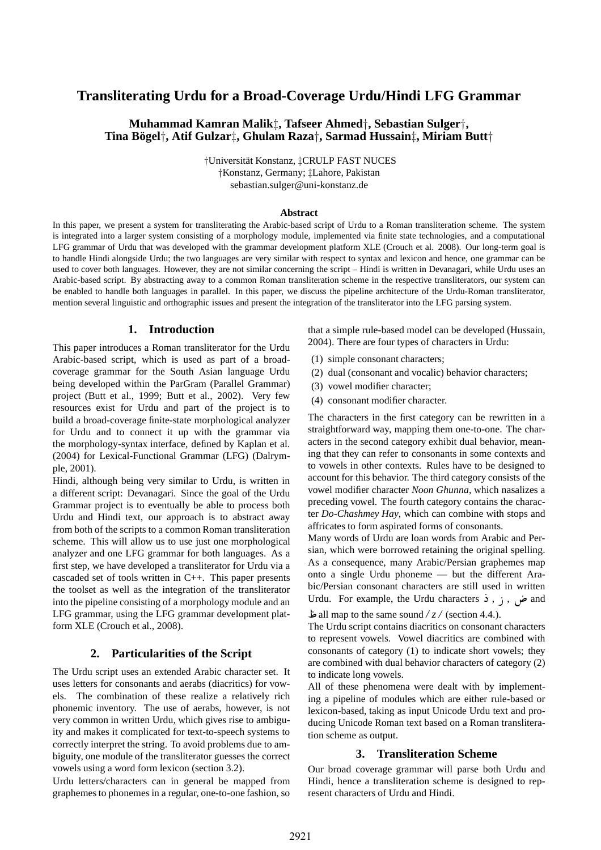# **Transliterating Urdu for a Broad-Coverage Urdu/Hindi LFG Grammar**

### **Muhammad Kamran Malik**‡**, Tafseer Ahmed**†**, Sebastian Sulger**†**, Tina Bogel ¨** †**, Atif Gulzar**‡**, Ghulam Raza**†**, Sarmad Hussain**‡**, Miriam Butt**†

†Universit¨at Konstanz, ‡CRULP FAST NUCES †Konstanz, Germany; ‡Lahore, Pakistan sebastian.sulger@uni-konstanz.de

#### **Abstract**

In this paper, we present a system for transliterating the Arabic-based script of Urdu to a Roman transliteration scheme. The system is integrated into a larger system consisting of a morphology module, implemented via finite state technologies, and a computational LFG grammar of Urdu that was developed with the grammar development platform XLE (Crouch et al. 2008). Our long-term goal is to handle Hindi alongside Urdu; the two languages are very similar with respect to syntax and lexicon and hence, one grammar can be used to cover both languages. However, they are not similar concerning the script – Hindi is written in Devanagari, while Urdu uses an Arabic-based script. By abstracting away to a common Roman transliteration scheme in the respective transliterators, our system can be enabled to handle both languages in parallel. In this paper, we discuss the pipeline architecture of the Urdu-Roman transliterator, mention several linguistic and orthographic issues and present the integration of the transliterator into the LFG parsing system.

### **1. Introduction**

This paper introduces a Roman transliterator for the Urdu Arabic-based script, which is used as part of a broadcoverage grammar for the South Asian language Urdu being developed within the ParGram (Parallel Grammar) project (Butt et al., 1999; Butt et al., 2002). Very few resources exist for Urdu and part of the project is to build a broad-coverage finite-state morphological analyzer for Urdu and to connect it up with the grammar via the morphology-syntax interface, defined by Kaplan et al. (2004) for Lexical-Functional Grammar (LFG) (Dalrymple, 2001).

Hindi, although being very similar to Urdu, is written in a different script: Devanagari. Since the goal of the Urdu Grammar project is to eventually be able to process both Urdu and Hindi text, our approach is to abstract away from both of the scripts to a common Roman transliteration scheme. This will allow us to use just one morphological analyzer and one LFG grammar for both languages. As a first step, we have developed a transliterator for Urdu via a cascaded set of tools written in C++. This paper presents the toolset as well as the integration of the transliterator into the pipeline consisting of a morphology module and an LFG grammar, using the LFG grammar development platform XLE (Crouch et al., 2008).

#### **2. Particularities of the Script**

The Urdu script uses an extended Arabic character set. It uses letters for consonants and aerabs (diacritics) for vowels. The combination of these realize a relatively rich phonemic inventory. The use of aerabs, however, is not very common in written Urdu, which gives rise to ambiguity and makes it complicated for text-to-speech systems to correctly interpret the string. To avoid problems due to ambiguity, one module of the transliterator guesses the correct vowels using a word form lexicon (section 3.2).

Urdu letters/characters can in general be mapped from graphemes to phonemes in a regular, one-to-one fashion, so

that a simple rule-based model can be developed (Hussain, 2004). There are four types of characters in Urdu:

- (1) simple consonant characters;
- (2) dual (consonant and vocalic) behavior characters;
- (3) vowel modifier character;
- (4) consonant modifier character.

The characters in the first category can be rewritten in a straightforward way, mapping them one-to-one. The characters in the second category exhibit dual behavior, meaning that they can refer to consonants in some contexts and to vowels in other contexts. Rules have to be designed to account for this behavior. The third category consists of the vowel modifier character *Noon Ghunna*, which nasalizes a preceding vowel. The fourth category contains the character *Do-Chashmey Hay*, which can combine with stops and affricates to form aspirated forms of consonants.

Many words of Urdu are loan words from Arabic and Persian, which were borrowed retaining the original spelling. As a consequence, many Arabic/Persian graphemes map onto a single Urdu phoneme — but the different Arabic/Persian consonant characters are still used in written Urdu. For example, the Urdu characters  $\dot{\mathbf{i}}$ ,  $\dot{\mathbf{j}}$ ,  $\ddot{\mathbf{j}}$ , and

 all map to the same sound */ z /* (section 4.4.).

The Urdu script contains diacritics on consonant characters to represent vowels. Vowel diacritics are combined with consonants of category (1) to indicate short vowels; they are combined with dual behavior characters of category (2) to indicate long vowels.

All of these phenomena were dealt with by implementing a pipeline of modules which are either rule-based or lexicon-based, taking as input Unicode Urdu text and producing Unicode Roman text based on a Roman transliteration scheme as output.

#### **3. Transliteration Scheme**

Our broad coverage grammar will parse both Urdu and Hindi, hence a transliteration scheme is designed to represent characters of Urdu and Hindi.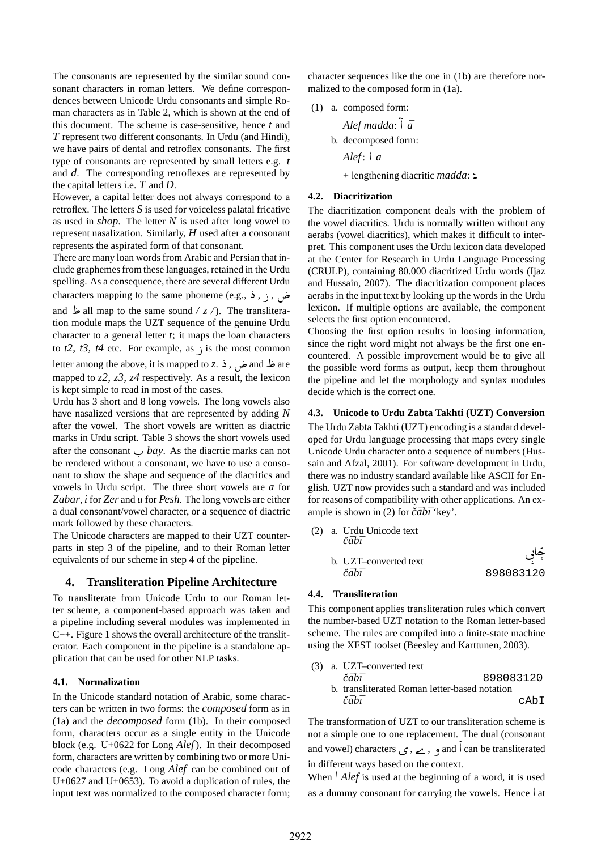The consonants are represented by the similar sound consonant characters in roman letters. We define correspondences between Unicode Urdu consonants and simple Roman characters as in Table 2, which is shown at the end of this document. The scheme is case-sensitive, hence *t* and *T* represent two different consonants. In Urdu (and Hindi), we have pairs of dental and retroflex consonants. The first type of consonants are represented by small letters e.g. *t* and *d*. The corresponding retroflexes are represented by the capital letters i.e. *T* and *D*.

However, a capital letter does not always correspond to a retroflex. The letters *S* is used for voiceless palatal fricative as used in *shop*. The letter *N* is used after long vowel to represent nasalization. Similarly, *H* used after a consonant represents the aspirated form of that consonant.

There are many loan words from Arabic and Persian that include graphemes from these languages, retained in the Urdu spelling. As a consequence, there are several different Urdu characters mapping to the same phoneme (e.g.,  $\frac{1}{2}$ ,  $\frac{1}{2}$ ,  $\frac{1}{2}$ ,  $\frac{1}{2}$ ,  $\frac{1}{2}$ ,  $\frac{1}{2}$ ,  $\frac{1}{2}$ and  $\omega$  all map to the same sound /  $z$  /). The translitera-

tion module maps the UZT sequence of the genuine Urdu character to a general letter *t*; it maps the loan characters to  $t2$ ,  $t3$ ,  $t4$  etc. For example, as  $\frac{1}{2}$  is the most common

letter among the above, it is mapped to *z*. **ذ** .c and **نفر** and **i** mapped to *z2, z3, z4* respectively. As a result, the lexicon is kept simple to read in most of the cases.

Urdu has 3 short and 8 long vowels. The long vowels also have nasalized versions that are represented by adding *N* after the vowel. The short vowels are written as diactric marks in Urdu script. Table 3 shows the short vowels used after the consonant  $\cup$  *bay*. As the diacrtic marks can not be rendered without a consonant, we have to use a consonant to show the shape and sequence of the diacritics and vowels in Urdu script. The three short vowels are *a* for *Zabar*, *i* for *Zer* and *u* for *Pesh*. The long vowels are either a dual consonant/vowel character, or a sequence of diactric mark followed by these characters.

The Unicode characters are mapped to their UZT counterparts in step 3 of the pipeline, and to their Roman letter equivalents of our scheme in step 4 of the pipeline.

### **4. Transliteration Pipeline Architecture**

To transliterate from Unicode Urdu to our Roman letter scheme, a component-based approach was taken and a pipeline including several modules was implemented in C++. Figure 1 shows the overall architecture of the transliterator. Each component in the pipeline is a standalone application that can be used for other NLP tasks.

#### **4.1. Normalization**

In the Unicode standard notation of Arabic, some characters can be written in two forms: the *composed* form as in (1a) and the *decomposed* form (1b). In their composed form, characters occur as a single entity in the Unicode block (e.g. U+0622 for Long *Alef*). In their decomposed form, characters are written by combining two or more Unicode characters (e.g. Long *Alef* can be combined out of U+0627 and U+0653). To avoid a duplication of rules, the input text was normalized to the composed character form;

character sequences like the one in (1b) are therefore normalized to the composed form in (1a).

(1) a. composed form: *Alef madda*: Æ *a¯* b. decomposed form: *Alef*: *a* + lengthening diacritic *madda*: Æ

#### **4.2. Diacritization**

The diacritization component deals with the problem of the vowel diacritics. Urdu is normally written without any aerabs (vowel diacritics), which makes it difficult to interpret. This component uses the Urdu lexicon data developed at the Center for Research in Urdu Language Processing (CRULP), containing 80.000 diacritized Urdu words (Ijaz and Hussain, 2007). The diacritization component places aerabs in the input text by looking up the words in the Urdu lexicon. If multiple options are available, the component selects the first option encountered.

Choosing the first option results in loosing information, since the right word might not always be the first one encountered. A possible improvement would be to give all the possible word forms as output, keep them throughout the pipeline and let the morphology and syntax modules decide which is the correct one.

#### **4.3. Unicode to Urdu Zabta Takhti (UZT) Conversion**

The Urdu Zabta Takhti (UZT) encoding is a standard developed for Urdu language processing that maps every single Unicode Urdu character onto a sequence of numbers (Hussain and Afzal, 2001). For software development in Urdu, there was no industry standard available like ASCII for English. UZT now provides such a standard and was included for reasons of compatibility with other applications. An example is shown in (2) for  $\check{c}\bar{a}b\bar{\iota}$  **'key'**.

|  | (2) a. Urdu Unicode text<br>čābī |           |
|--|----------------------------------|-----------|
|  | b. UZT-converted text<br>čāhī    | 898083120 |

#### **4.4. Transliteration**

This component applies transliteration rules which convert the number-based UZT notation to the Roman letter-based scheme. The rules are compiled into a finite-state machine using the XFST toolset (Beesley and Karttunen, 2003).

\n- (3) a. UZT–converted text 
$$
\tilde{c}\bar{a}b\bar{b}
$$
\n- b. translated Roman letter-based notation  $\tilde{c}\bar{a}b\bar{b}$
\n

The transformation of UZT to our transliteration scheme is not a simple one to one replacement. The dual (consonant and vowel) characters  $\zeta$ ,  $\zeta$ ,  $\zeta$  and can be transliterated in different ways based on the context.

When *Alef* is used at the beginning of a word, it is used as a dummy consonant for carrying the vowels. Hence  $\vert$  at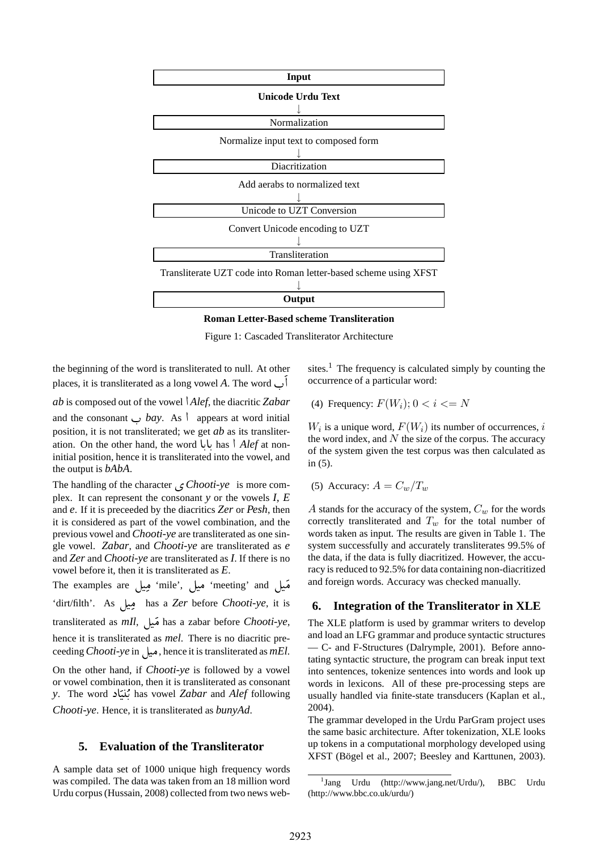

**Roman Letter-Based scheme Transliteration**

Figure 1: Cascaded Transliterator Architecture

the beginning of the word is transliterated to null. At other places, it is transliterated as a long vowel  $A$ . The word  $\cup$ 

*ab* is composed out of the vowel *Alef*, the diacritic *Zabar* and the consonant  $\cup$  *bay*. As  $\mid$  appears at word initial position, it is not transliterated; we get *ab* as its transliteration. On the other hand, the word بابا has *\ Alef* at non-. initial position, hence it is transliterated into the vowel, and the output is *bAbA*.

The handling of the character <sup>ø</sup> *Chooti-ye* is more complex. It can represent the consonant *y* or the vowels *I, E* and *e*. If it is preceeded by the diacritics *Zer* or *Pesh*, then it is considered as part of the vowel combination, and the previous vowel and *Chooti-ye* are transliterated as one single vowel. *Zabar*, and *Chooti-ye* are transliterated as *e* and *Zer* and *Chooti-ye* are transliterated as *I*. If there is no vowel before it, then it is transliterated as *E*.

he examples are ميل 'mile', ميل' meeting' and ` 'dirt/filth'. As فِيل has a *Zer* before *Chooti-ye*, it is transliterated as *mIl*, فَيال has a zabar before *Chooti-ye*, hence it is transliterated as *mel*. There is no diacritic preceeding *Chooti-ye* in ميل hence it is transliterated as *mEl*.

On the other hand, if *Chooti-ye* is followed by a vowel or vowel combination, then it is transliterated as consonant y. The word بُنيَاد**)** has vowel *Zabar* and *Alef* following *Chooti-ye*. Hence, it is transliterated as *bunyAd*.

### **5. Evaluation of the Transliterator**

A sample data set of 1000 unique high frequency words was compiled. The data was taken from an 18 million word Urdu corpus (Hussain, 2008) collected from two news web-

sites.<sup>1</sup> The frequency is calculated simply by counting the occurrence of a particular word:

(4) Frequency:  $F(W_i)$ ;  $0 < i < N$ 

 $W_i$  is a unique word,  $F(W_i)$  its number of occurrences, i the word index, and  $N$  the size of the corpus. The accuracy of the system given the test corpus was then calculated as in (5).

(5) Accuracy:  $A = C_w / T_w$ 

A stands for the accuracy of the system,  $C_w$  for the words correctly transliterated and  $T_w$  for the total number of words taken as input. The results are given in Table 1. The system successfully and accurately transliterates 99.5% of the data, if the data is fully diacritized. However, the accuracy is reduced to 92.5% for data containing non-diacritized and foreign words. Accuracy was checked manually.

### **6. Integration of the Transliterator in XLE**

The XLE platform is used by grammar writers to develop and load an LFG grammar and produce syntactic structures — C- and F-Structures (Dalrymple, 2001). Before annotating syntactic structure, the program can break input text into sentences, tokenize sentences into words and look up words in lexicons. All of these pre-processing steps are usually handled via finite-state transducers (Kaplan et al., 2004).

The grammar developed in the Urdu ParGram project uses the same basic architecture. After tokenization, XLE looks up tokens in a computational morphology developed using XFST (Bögel et al., 2007; Beesley and Karttunen, 2003).

<sup>1</sup> Jang Urdu (http://www.jang.net/Urdu/), BBC Urdu (http://www.bbc.co.uk/urdu/)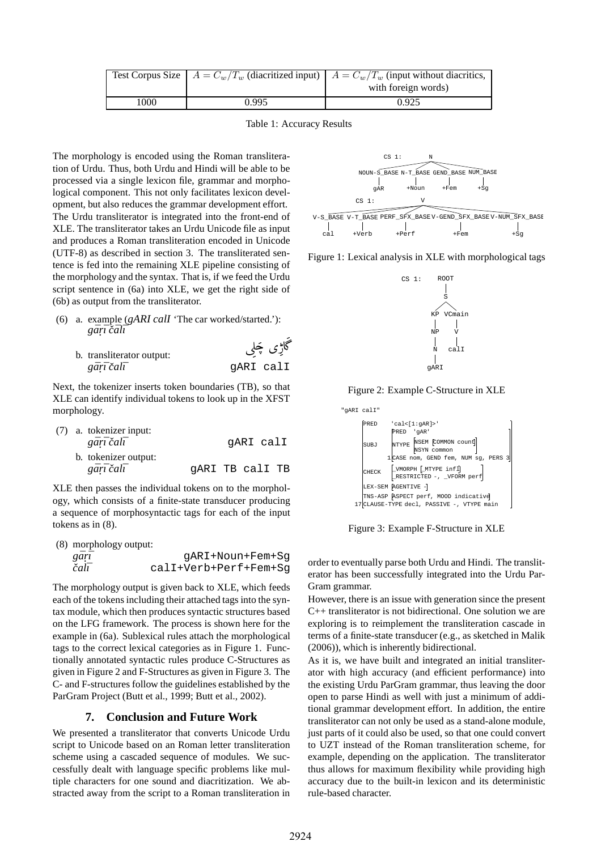|      |       | Test Corpus Size $A = C_w/T_w$ (diacritized input) $A = C_w/T_w$ (input without diacritics, |
|------|-------|---------------------------------------------------------------------------------------------|
|      |       | with foreign words)                                                                         |
| 1000 | 0.995 | 0.925                                                                                       |

Table 1: Accuracy Results

.

The morphology is encoded using the Roman transliteration of Urdu. Thus, both Urdu and Hindi will be able to be processed via a single lexicon file, grammar and morphological component. This not only facilitates lexicon development, but also reduces the grammar development effort. The Urdu transliterator is integrated into the front-end of XLE. The transliterator takes an Urdu Unicode file as input and produces a Roman transliteration encoded in Unicode (UTF-8) as described in section 3. The transliterated sentence is fed into the remaining XLE pipeline consisting of the morphology and the syntax. That is, if we feed the Urdu script sentence in (6a) into XLE, we get the right side of (6b) as output from the transliterator.

- (6) a. example (*gARI calI* 'The car worked/started.'): *gar¯. ¯ı cˇal¯ ¯ı*
	- اڑی چُلِی b. transliterator output: *gar¯. ¯ı cal ˇ ¯ı* gARI calI

Next, the tokenizer inserts token boundaries (TB), so that XLE can identify individual tokens to look up in the XFST morphology.

|  | (7) a. tokenizer input: |                 |           |  |
|--|-------------------------|-----------------|-----------|--|
|  | gārī čalī               |                 | qARI calI |  |
|  | b. tokenizer output:    |                 |           |  |
|  | gārī čalī               | GARI TB calI TB |           |  |

XLE then passes the individual tokens on to the morphology, which consists of a finite-state transducer producing a sequence of morphosyntactic tags for each of the input tokens as in (8).

|  | (8) morphology output: |  |
|--|------------------------|--|
|--|------------------------|--|

| gari | qARI+Noun+Fem+Sq      |
|------|-----------------------|
| čalī | calI+Verb+Perf+Fem+Sq |

The morphology output is given back to XLE, which feeds each of the tokens including their attached tags into the syntax module, which then produces syntactic structures based on the LFG framework. The process is shown here for the example in (6a). Sublexical rules attach the morphological tags to the correct lexical categories as in Figure 1. Functionally annotated syntactic rules produce C-Structures as given in Figure 2 and F-Structures as given in Figure 3. The C- and F-structures follow the guidelines established by the ParGram Project (Butt et al., 1999; Butt et al., 2002).

## **7. Conclusion and Future Work**

We presented a transliterator that converts Unicode Urdu script to Unicode based on an Roman letter transliteration scheme using a cascaded sequence of modules. We successfully dealt with language specific problems like multiple characters for one sound and diacritization. We abstracted away from the script to a Roman transliteration in



Figure 1: Lexical analysis in XLE with morphological tags



Figure 2: Example C-Structure in XLE



Figure 3: Example F-Structure in XLE

order to eventually parse both Urdu and Hindi. The transliterator has been successfully integrated into the Urdu Par-Gram grammar.

However, there is an issue with generation since the present C++ transliterator is not bidirectional. One solution we are exploring is to reimplement the transliteration cascade in terms of a finite-state transducer (e.g., as sketched in Malik (2006)), which is inherently bidirectional.

As it is, we have built and integrated an initial transliterator with high accuracy (and efficient performance) into the existing Urdu ParGram grammar, thus leaving the door open to parse Hindi as well with just a minimum of additional grammar development effort. In addition, the entire transliterator can not only be used as a stand-alone module, just parts of it could also be used, so that one could convert to UZT instead of the Roman transliteration scheme, for example, depending on the application. The transliterator thus allows for maximum flexibility while providing high accuracy due to the built-in lexicon and its deterministic rule-based character.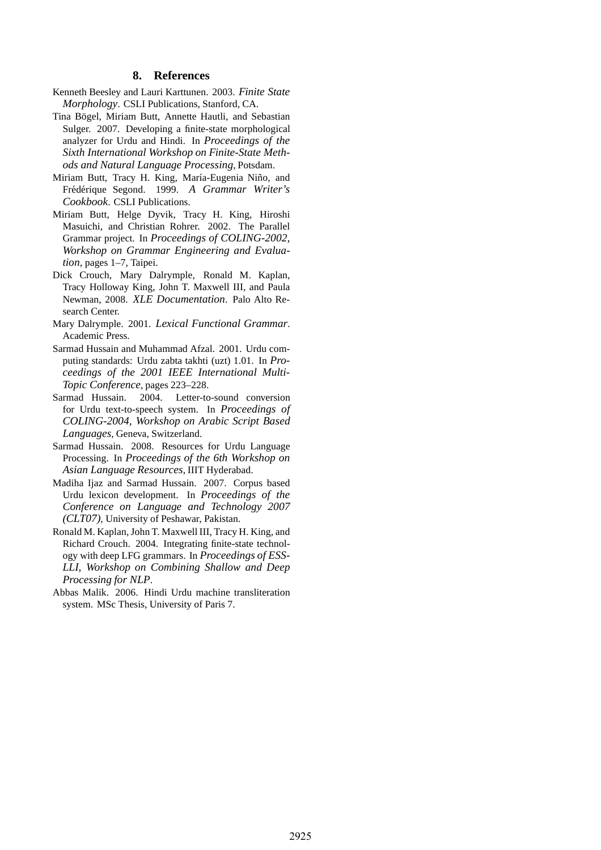### **8. References**

- Kenneth Beesley and Lauri Karttunen. 2003. *Finite State Morphology*. CSLI Publications, Stanford, CA.
- Tina Bögel, Miriam Butt, Annette Hautli, and Sebastian Sulger. 2007. Developing a finite-state morphological analyzer for Urdu and Hindi. In *Proceedings of the Sixth International Workshop on Finite-State Methods and Natural Language Processing*, Potsdam.
- Miriam Butt, Tracy H. King, María-Eugenia Niño, and Fr´ed´erique Segond. 1999. *A Grammar Writer's Cookbook*. CSLI Publications.
- Miriam Butt, Helge Dyvik, Tracy H. King, Hiroshi Masuichi, and Christian Rohrer. 2002. The Parallel Grammar project. In *Proceedings of COLING-2002, Workshop on Grammar Engineering and Evaluation*, pages 1–7, Taipei.
- Dick Crouch, Mary Dalrymple, Ronald M. Kaplan, Tracy Holloway King, John T. Maxwell III, and Paula Newman, 2008. *XLE Documentation*. Palo Alto Research Center.
- Mary Dalrymple. 2001. *Lexical Functional Grammar*. Academic Press.
- Sarmad Hussain and Muhammad Afzal. 2001. Urdu computing standards: Urdu zabta takhti (uzt) 1.01. In *Proceedings of the 2001 IEEE International Multi-Topic Conference*, pages 223–228.
- Sarmad Hussain. 2004. Letter-to-sound conversion for Urdu text-to-speech system. In *Proceedings of COLING-2004, Workshop on Arabic Script Based Languages*, Geneva, Switzerland.
- Sarmad Hussain. 2008. Resources for Urdu Language Processing. In *Proceedings of the 6th Workshop on Asian Language Resources*, IIIT Hyderabad.
- Madiha Ijaz and Sarmad Hussain. 2007. Corpus based Urdu lexicon development. In *Proceedings of the Conference on Language and Technology 2007 (CLT07)*, University of Peshawar, Pakistan.
- Ronald M. Kaplan, John T. Maxwell III, Tracy H. King, and Richard Crouch. 2004. Integrating finite-state technology with deep LFG grammars. In *Proceedings of ESS-LLI, Workshop on Combining Shallow and Deep Processing for NLP*.
- Abbas Malik. 2006. Hindi Urdu machine transliteration system. MSc Thesis, University of Paris 7.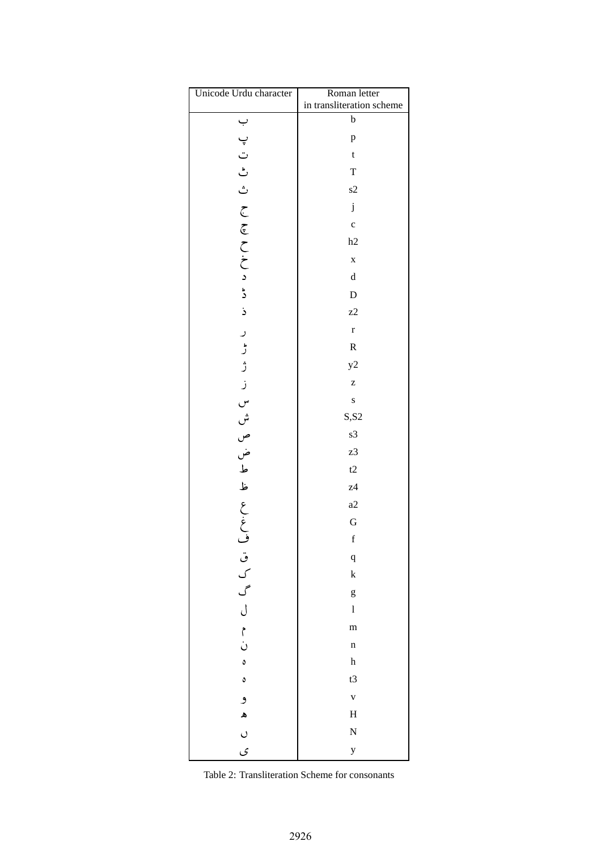| Unicode Urdu character          | Roman letter              |
|---------------------------------|---------------------------|
|                                 | in transliteration scheme |
|                                 | $\mathbf b$               |
|                                 | p                         |
|                                 | $\mathbf t$               |
|                                 | $\mathbf T$               |
|                                 | s2                        |
| いしご ご こ こをこここ ミ ミ               | $\mathbf j$               |
|                                 | $\mathbf{c}$              |
|                                 | h2                        |
|                                 | $\mathbf x$               |
|                                 | $\rm d$                   |
|                                 | $\mathbf D$               |
|                                 | z2                        |
|                                 | $\mathbf{r}$              |
|                                 | ${\bf R}$                 |
|                                 | y2                        |
| しささし じゅつふとう                     | Z                         |
|                                 | $\mathbf{s}$              |
|                                 | S, S2                     |
|                                 | s3                        |
|                                 | z3                        |
|                                 | t2                        |
|                                 | z <sub>4</sub>            |
|                                 | a2                        |
|                                 | G                         |
|                                 | f                         |
| ف ق ل م<br>ر ا م ا م ا ن<br>ر ا | $\mathbf q$               |
|                                 | $\mathbf k$               |
|                                 | g                         |
|                                 | $\bf{l}$                  |
|                                 | m                         |
|                                 | $\mathbf n$               |
| $\circ$                         | $\boldsymbol{\textbf{h}}$ |
| $\circ$                         | t3                        |
| و                               | $\mathbf v$               |
| $\blacktriangle$                | $\mathbf H$               |
| $\circ$                         | N                         |
| ى                               | $\mathbf{y}$              |

|  | Table 2: Transliteration Scheme for consonants |  |  |
|--|------------------------------------------------|--|--|
|--|------------------------------------------------|--|--|